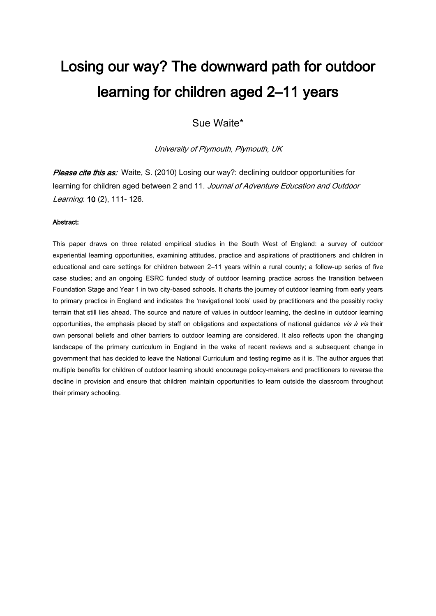# Losing our way? The downward path for outdoor learning for children aged 2–11 years

# Sue Waite\*

University of Plymouth, Plymouth, UK

Please cite this as: Waite, S. (2010) Losing our way?: declining outdoor opportunities for learning for children aged between 2 and 11. Journal of Adventure Education and Outdoor Learning. 10 (2), 111- 126.

#### Abstract:

This paper draws on three related empirical studies in the South West of England: a survey of outdoor experiential learning opportunities, examining attitudes, practice and aspirations of practitioners and children in educational and care settings for children between 2–11 years within a rural county; a follow-up series of five case studies; and an ongoing ESRC funded study of outdoor learning practice across the transition between Foundation Stage and Year 1 in two city-based schools. It charts the journey of outdoor learning from early years to primary practice in England and indicates the 'navigational tools' used by practitioners and the possibly rocky terrain that still lies ahead. The source and nature of values in outdoor learning, the decline in outdoor learning opportunities, the emphasis placed by staff on obligations and expectations of national guidance vis  $\dot{a}$  vis their own personal beliefs and other barriers to outdoor learning are considered. It also reflects upon the changing landscape of the primary curriculum in England in the wake of recent reviews and a subsequent change in government that has decided to leave the National Curriculum and testing regime as it is. The author argues that multiple benefits for children of outdoor learning should encourage policy-makers and practitioners to reverse the decline in provision and ensure that children maintain opportunities to learn outside the classroom throughout their primary schooling.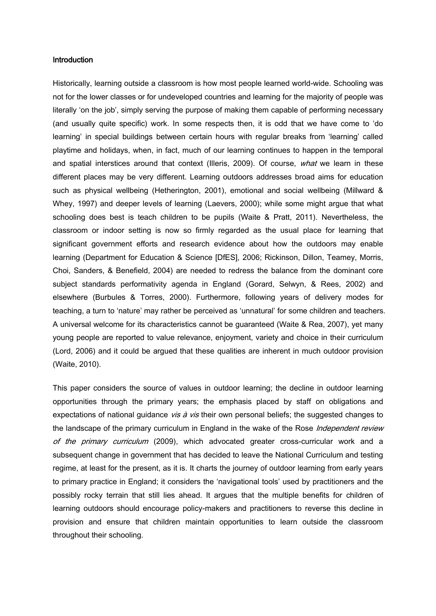#### **Introduction**

Historically, learning outside a classroom is how most people learned world-wide. Schooling was not for the lower classes or for undeveloped countries and learning for the majority of people was literally 'on the job', simply serving the purpose of making them capable of performing necessary (and usually quite specific) work. In some respects then, it is odd that we have come to 'do learning' in special buildings between certain hours with regular breaks from 'learning' called playtime and holidays, when, in fact, much of our learning continues to happen in the temporal and spatial interstices around that context (Illeris, 2009). Of course, what we learn in these different places may be very different. Learning outdoors addresses broad aims for education such as physical wellbeing (Hetherington, 2001), emotional and social wellbeing (Millward & Whey, 1997) and deeper levels of learning (Laevers, 2000); while some might argue that what schooling does best is teach children to be pupils (Waite & Pratt, 2011). Nevertheless, the classroom or indoor setting is now so firmly regarded as the usual place for learning that significant government efforts and research evidence about how the outdoors may enable learning (Department for Education & Science [DfES], 2006; Rickinson, Dillon, Teamey, Morris, Choi, Sanders, & Benefield, 2004) are needed to redress the balance from the dominant core subject standards performativity agenda in England (Gorard, Selwyn, & Rees, 2002) and elsewhere (Burbules & Torres, 2000). Furthermore, following years of delivery modes for teaching, a turn to 'nature' may rather be perceived as 'unnatural' for some children and teachers. A universal welcome for its characteristics cannot be guaranteed (Waite & Rea, 2007), yet many young people are reported to value relevance, enjoyment, variety and choice in their curriculum (Lord, 2006) and it could be argued that these qualities are inherent in much outdoor provision (Waite, 2010).

This paper considers the source of values in outdoor learning; the decline in outdoor learning opportunities through the primary years; the emphasis placed by staff on obligations and expectations of national quidance  $vis$   $\dot{a}$   $vis$  their own personal beliefs; the suggested changes to the landscape of the primary curriculum in England in the wake of the Rose *Independent review* of the primary curriculum (2009), which advocated greater cross-curricular work and a subsequent change in government that has decided to leave the National Curriculum and testing regime, at least for the present, as it is. It charts the journey of outdoor learning from early years to primary practice in England; it considers the 'navigational tools' used by practitioners and the possibly rocky terrain that still lies ahead. It argues that the multiple benefits for children of learning outdoors should encourage policy-makers and practitioners to reverse this decline in provision and ensure that children maintain opportunities to learn outside the classroom throughout their schooling.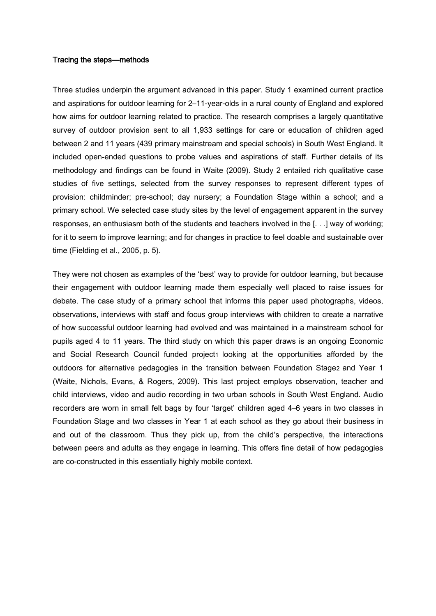### Tracing the steps—methods

Three studies underpin the argument advanced in this paper. Study 1 examined current practice and aspirations for outdoor learning for 2–11-year-olds in a rural county of England and explored how aims for outdoor learning related to practice. The research comprises a largely quantitative survey of outdoor provision sent to all 1,933 settings for care or education of children aged between 2 and 11 years (439 primary mainstream and special schools) in South West England. It included open-ended questions to probe values and aspirations of staff. Further details of its methodology and findings can be found in Waite (2009). Study 2 entailed rich qualitative case studies of five settings, selected from the survey responses to represent different types of provision: childminder; pre-school; day nursery; a Foundation Stage within a school; and a primary school. We selected case study sites by the level of engagement apparent in the survey responses, an enthusiasm both of the students and teachers involved in the [. . .] way of working; for it to seem to improve learning; and for changes in practice to feel doable and sustainable over time (Fielding et al., 2005, p. 5).

They were not chosen as examples of the 'best' way to provide for outdoor learning, but because their engagement with outdoor learning made them especially well placed to raise issues for debate. The case study of a primary school that informs this paper used photographs, videos, observations, interviews with staff and focus group interviews with children to create a narrative of how successful outdoor learning had evolved and was maintained in a mainstream school for pupils aged 4 to 11 years. The third study on which this paper draws is an ongoing Economic and Social Research Council funded project<sub>1</sub> looking at the opportunities afforded by the outdoors for alternative pedagogies in the transition between Foundation Stage2 and Year 1 (Waite, Nichols, Evans, & Rogers, 2009). This last project employs observation, teacher and child interviews, video and audio recording in two urban schools in South West England. Audio recorders are worn in small felt bags by four 'target' children aged 4–6 years in two classes in Foundation Stage and two classes in Year 1 at each school as they go about their business in and out of the classroom. Thus they pick up, from the child's perspective, the interactions between peers and adults as they engage in learning. This offers fine detail of how pedagogies are co-constructed in this essentially highly mobile context.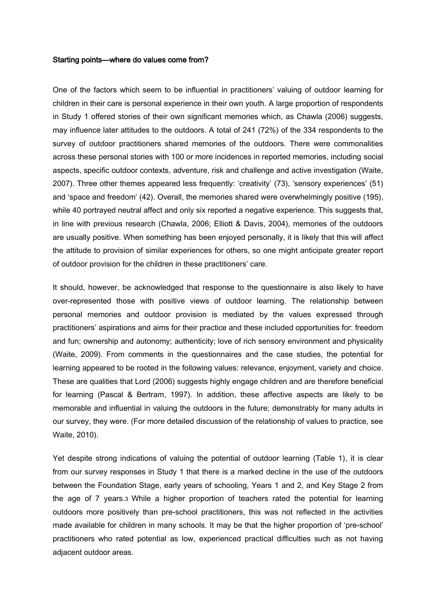#### Starting points—where do values come from?

One of the factors which seem to be influential in practitioners' valuing of outdoor learning for children in their care is personal experience in their own youth. A large proportion of respondents in Study 1 offered stories of their own significant memories which, as Chawla (2006) suggests, may influence later attitudes to the outdoors. A total of 241 (72%) of the 334 respondents to the survey of outdoor practitioners shared memories of the outdoors. There were commonalities across these personal stories with 100 or more incidences in reported memories, including social aspects, specific outdoor contexts, adventure, risk and challenge and active investigation (Waite, 2007). Three other themes appeared less frequently: 'creativity' (73), 'sensory experiences' (51) and 'space and freedom' (42). Overall, the memories shared were overwhelmingly positive (195), while 40 portrayed neutral affect and only six reported a negative experience. This suggests that, in line with previous research (Chawla, 2006; Elliott & Davis, 2004), memories of the outdoors are usually positive. When something has been enjoyed personally, it is likely that this will affect the attitude to provision of similar experiences for others, so one might anticipate greater report of outdoor provision for the children in these practitioners' care.

It should, however, be acknowledged that response to the questionnaire is also likely to have over-represented those with positive views of outdoor learning. The relationship between personal memories and outdoor provision is mediated by the values expressed through practitioners' aspirations and aims for their practice and these included opportunities for: freedom and fun; ownership and autonomy; authenticity; love of rich sensory environment and physicality (Waite, 2009). From comments in the questionnaires and the case studies, the potential for learning appeared to be rooted in the following values: relevance, enjoyment, variety and choice. These are qualities that Lord (2006) suggests highly engage children and are therefore beneficial for learning (Pascal & Bertram, 1997). In addition, these affective aspects are likely to be memorable and influential in valuing the outdoors in the future; demonstrably for many adults in our survey, they were. (For more detailed discussion of the relationship of values to practice, see Waite, 2010).

Yet despite strong indications of valuing the potential of outdoor learning (Table 1), it is clear from our survey responses in Study 1 that there is a marked decline in the use of the outdoors between the Foundation Stage, early years of schooling, Years 1 and 2, and Key Stage 2 from the age of 7 years.3 While a higher proportion of teachers rated the potential for learning outdoors more positively than pre-school practitioners, this was not reflected in the activities made available for children in many schools. It may be that the higher proportion of 'pre-school' practitioners who rated potential as low, experienced practical difficulties such as not having adjacent outdoor areas.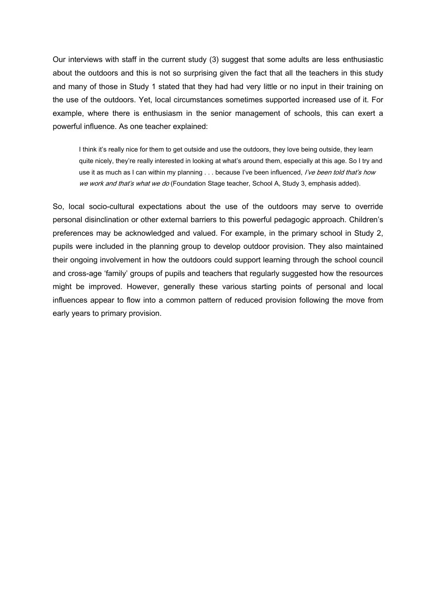Our interviews with staff in the current study (3) suggest that some adults are less enthusiastic about the outdoors and this is not so surprising given the fact that all the teachers in this study and many of those in Study 1 stated that they had had very little or no input in their training on the use of the outdoors. Yet, local circumstances sometimes supported increased use of it. For example, where there is enthusiasm in the senior management of schools, this can exert a powerful influence. As one teacher explained:

I think it's really nice for them to get outside and use the outdoors, they love being outside, they learn quite nicely, they're really interested in looking at what's around them, especially at this age. So I try and use it as much as I can within my planning . . . because I've been influenced, I've been told that's how we work and that's what we do (Foundation Stage teacher, School A, Study 3, emphasis added).

So, local socio-cultural expectations about the use of the outdoors may serve to override personal disinclination or other external barriers to this powerful pedagogic approach. Children's preferences may be acknowledged and valued. For example, in the primary school in Study 2, pupils were included in the planning group to develop outdoor provision. They also maintained their ongoing involvement in how the outdoors could support learning through the school council and cross-age 'family' groups of pupils and teachers that regularly suggested how the resources might be improved. However, generally these various starting points of personal and local influences appear to flow into a common pattern of reduced provision following the move from early years to primary provision.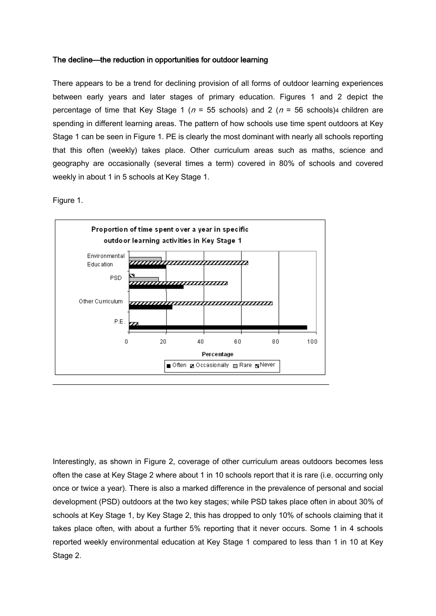## The decline—the reduction in opportunities for outdoor learning

There appears to be a trend for declining provision of all forms of outdoor learning experiences between early years and later stages of primary education. Figures 1 and 2 depict the percentage of time that Key Stage 1 ( $n = 55$  schools) and 2 ( $n = 56$  schools)4 children are spending in different learning areas. The pattern of how schools use time spent outdoors at Key Stage 1 can be seen in Figure 1. PE is clearly the most dominant with nearly all schools reporting that this often (weekly) takes place. Other curriculum areas such as maths, science and geography are occasionally (several times a term) covered in 80% of schools and covered weekly in about 1 in 5 schools at Key Stage 1.

Figure 1.



Interestingly, as shown in Figure 2, coverage of other curriculum areas outdoors becomes less often the case at Key Stage 2 where about 1 in 10 schools report that it is rare (i.e. occurring only once or twice a year). There is also a marked difference in the prevalence of personal and social development (PSD) outdoors at the two key stages; while PSD takes place often in about 30% of schools at Key Stage 1, by Key Stage 2, this has dropped to only 10% of schools claiming that it takes place often, with about a further 5% reporting that it never occurs. Some 1 in 4 schools reported weekly environmental education at Key Stage 1 compared to less than 1 in 10 at Key Stage 2.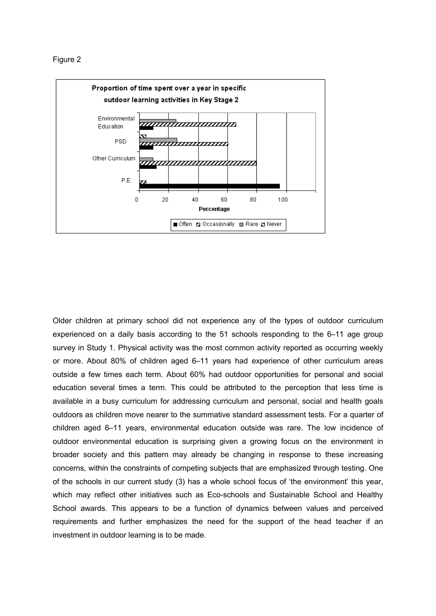

Older children at primary school did not experience any of the types of outdoor curriculum experienced on a daily basis according to the 51 schools responding to the 6–11 age group survey in Study 1. Physical activity was the most common activity reported as occurring weekly or more. About 80% of children aged 6–11 years had experience of other curriculum areas outside a few times each term. About 60% had outdoor opportunities for personal and social education several times a term. This could be attributed to the perception that less time is available in a busy curriculum for addressing curriculum and personal, social and health goals outdoors as children move nearer to the summative standard assessment tests. For a quarter of children aged 6–11 years, environmental education outside was rare. The low incidence of outdoor environmental education is surprising given a growing focus on the environment in broader society and this pattern may already be changing in response to these increasing concerns, within the constraints of competing subjects that are emphasized through testing. One of the schools in our current study (3) has a whole school focus of 'the environment' this year, which may reflect other initiatives such as Eco-schools and Sustainable School and Healthy School awards. This appears to be a function of dynamics between values and perceived requirements and further emphasizes the need for the support of the head teacher if an investment in outdoor learning is to be made.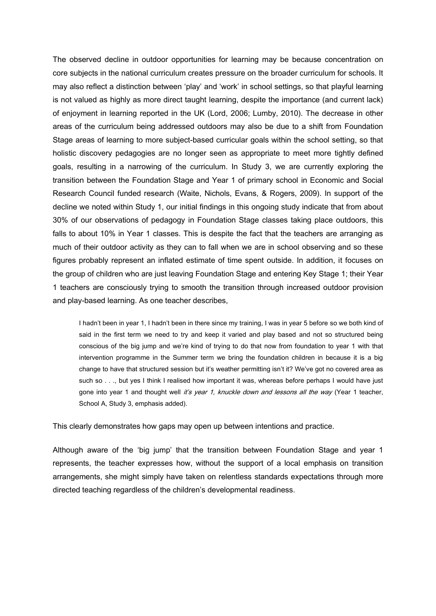The observed decline in outdoor opportunities for learning may be because concentration on core subjects in the national curriculum creates pressure on the broader curriculum for schools. It may also reflect a distinction between 'play' and 'work' in school settings, so that playful learning is not valued as highly as more direct taught learning, despite the importance (and current lack) of enjoyment in learning reported in the UK (Lord, 2006; Lumby, 2010). The decrease in other areas of the curriculum being addressed outdoors may also be due to a shift from Foundation Stage areas of learning to more subject-based curricular goals within the school setting, so that holistic discovery pedagogies are no longer seen as appropriate to meet more tightly defined goals, resulting in a narrowing of the curriculum. In Study 3, we are currently exploring the transition between the Foundation Stage and Year 1 of primary school in Economic and Social Research Council funded research (Waite, Nichols, Evans, & Rogers, 2009). In support of the decline we noted within Study 1, our initial findings in this ongoing study indicate that from about 30% of our observations of pedagogy in Foundation Stage classes taking place outdoors, this falls to about 10% in Year 1 classes. This is despite the fact that the teachers are arranging as much of their outdoor activity as they can to fall when we are in school observing and so these figures probably represent an inflated estimate of time spent outside. In addition, it focuses on the group of children who are just leaving Foundation Stage and entering Key Stage 1; their Year 1 teachers are consciously trying to smooth the transition through increased outdoor provision and play-based learning. As one teacher describes,

I hadn't been in year 1, I hadn't been in there since my training, I was in year 5 before so we both kind of said in the first term we need to try and keep it varied and play based and not so structured being conscious of the big jump and we're kind of trying to do that now from foundation to year 1 with that intervention programme in the Summer term we bring the foundation children in because it is a big change to have that structured session but it's weather permitting isn't it? We've got no covered area as such so . . ., but yes I think I realised how important it was, whereas before perhaps I would have just gone into year 1 and thought well *it's year 1, knuckle down and lessons all the way* (Year 1 teacher, School A, Study 3, emphasis added).

This clearly demonstrates how gaps may open up between intentions and practice.

Although aware of the 'big jump' that the transition between Foundation Stage and year 1 represents, the teacher expresses how, without the support of a local emphasis on transition arrangements, she might simply have taken on relentless standards expectations through more directed teaching regardless of the children's developmental readiness.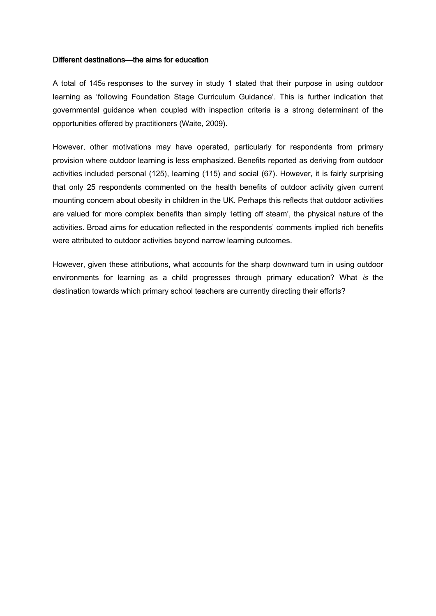#### Different destinations—the aims for education

A total of 1455 responses to the survey in study 1 stated that their purpose in using outdoor learning as 'following Foundation Stage Curriculum Guidance'. This is further indication that governmental guidance when coupled with inspection criteria is a strong determinant of the opportunities offered by practitioners (Waite, 2009).

However, other motivations may have operated, particularly for respondents from primary provision where outdoor learning is less emphasized. Benefits reported as deriving from outdoor activities included personal (125), learning (115) and social (67). However, it is fairly surprising that only 25 respondents commented on the health benefits of outdoor activity given current mounting concern about obesity in children in the UK. Perhaps this reflects that outdoor activities are valued for more complex benefits than simply 'letting off steam', the physical nature of the activities. Broad aims for education reflected in the respondents' comments implied rich benefits were attributed to outdoor activities beyond narrow learning outcomes.

However, given these attributions, what accounts for the sharp downward turn in using outdoor environments for learning as a child progresses through primary education? What is the destination towards which primary school teachers are currently directing their efforts?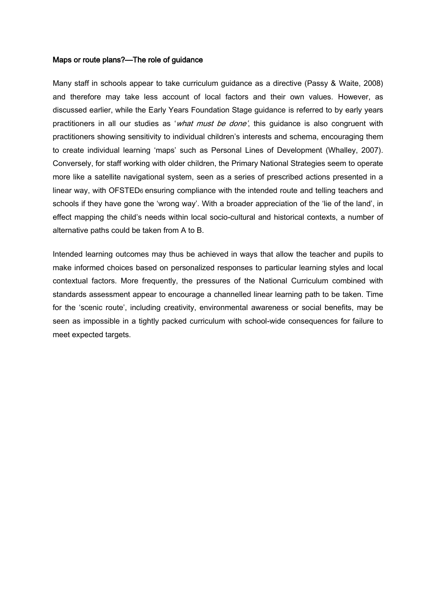#### Maps or route plans?—The role of guidance

Many staff in schools appear to take curriculum guidance as a directive (Passy & Waite, 2008) and therefore may take less account of local factors and their own values. However, as discussed earlier, while the Early Years Foundation Stage guidance is referred to by early years practitioners in all our studies as 'what must be done', this guidance is also congruent with practitioners showing sensitivity to individual children's interests and schema, encouraging them to create individual learning 'maps' such as Personal Lines of Development (Whalley, 2007). Conversely, for staff working with older children, the Primary National Strategies seem to operate more like a satellite navigational system, seen as a series of prescribed actions presented in a linear way, with OFSTED6 ensuring compliance with the intended route and telling teachers and schools if they have gone the 'wrong way'. With a broader appreciation of the 'lie of the land', in effect mapping the child's needs within local socio-cultural and historical contexts, a number of alternative paths could be taken from A to B.

Intended learning outcomes may thus be achieved in ways that allow the teacher and pupils to make informed choices based on personalized responses to particular learning styles and local contextual factors. More frequently, the pressures of the National Curriculum combined with standards assessment appear to encourage a channelled linear learning path to be taken. Time for the 'scenic route', including creativity, environmental awareness or social benefits, may be seen as impossible in a tightly packed curriculum with school-wide consequences for failure to meet expected targets.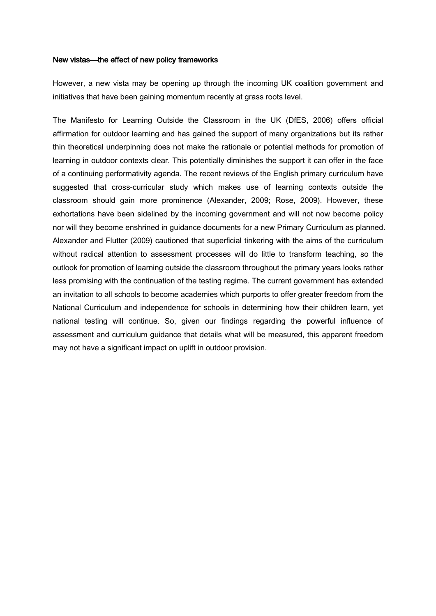#### New vistas—the effect of new policy frameworks

However, a new vista may be opening up through the incoming UK coalition government and initiatives that have been gaining momentum recently at grass roots level.

The Manifesto for Learning Outside the Classroom in the UK (DfES, 2006) offers official affirmation for outdoor learning and has gained the support of many organizations but its rather thin theoretical underpinning does not make the rationale or potential methods for promotion of learning in outdoor contexts clear. This potentially diminishes the support it can offer in the face of a continuing performativity agenda. The recent reviews of the English primary curriculum have suggested that cross-curricular study which makes use of learning contexts outside the classroom should gain more prominence (Alexander, 2009; Rose, 2009). However, these exhortations have been sidelined by the incoming government and will not now become policy nor will they become enshrined in guidance documents for a new Primary Curriculum as planned. Alexander and Flutter (2009) cautioned that superficial tinkering with the aims of the curriculum without radical attention to assessment processes will do little to transform teaching, so the outlook for promotion of learning outside the classroom throughout the primary years looks rather less promising with the continuation of the testing regime. The current government has extended an invitation to all schools to become academies which purports to offer greater freedom from the National Curriculum and independence for schools in determining how their children learn, yet national testing will continue. So, given our findings regarding the powerful influence of assessment and curriculum guidance that details what will be measured, this apparent freedom may not have a significant impact on uplift in outdoor provision.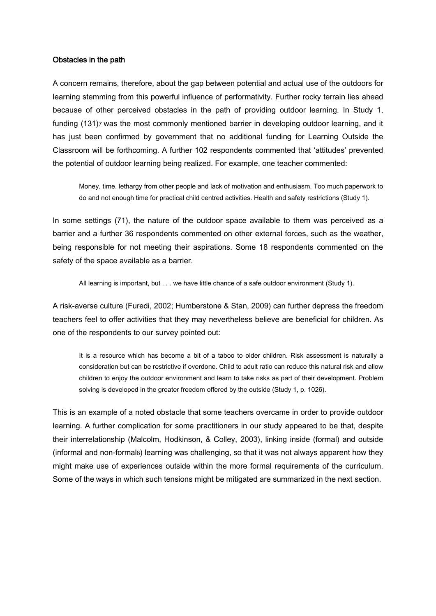#### Obstacles in the path

A concern remains, therefore, about the gap between potential and actual use of the outdoors for learning stemming from this powerful influence of performativity. Further rocky terrain lies ahead because of other perceived obstacles in the path of providing outdoor learning. In Study 1, funding (131)7 was the most commonly mentioned barrier in developing outdoor learning, and it has just been confirmed by government that no additional funding for Learning Outside the Classroom will be forthcoming. A further 102 respondents commented that 'attitudes' prevented the potential of outdoor learning being realized. For example, one teacher commented:

Money, time, lethargy from other people and lack of motivation and enthusiasm. Too much paperwork to do and not enough time for practical child centred activities. Health and safety restrictions (Study 1).

In some settings (71), the nature of the outdoor space available to them was perceived as a barrier and a further 36 respondents commented on other external forces, such as the weather, being responsible for not meeting their aspirations. Some 18 respondents commented on the safety of the space available as a barrier.

All learning is important, but . . . we have little chance of a safe outdoor environment (Study 1).

A risk-averse culture (Furedi, 2002; Humberstone & Stan, 2009) can further depress the freedom teachers feel to offer activities that they may nevertheless believe are beneficial for children. As one of the respondents to our survey pointed out:

It is a resource which has become a bit of a taboo to older children. Risk assessment is naturally a consideration but can be restrictive if overdone. Child to adult ratio can reduce this natural risk and allow children to enjoy the outdoor environment and learn to take risks as part of their development. Problem solving is developed in the greater freedom offered by the outside (Study 1, p. 1026).

This is an example of a noted obstacle that some teachers overcame in order to provide outdoor learning. A further complication for some practitioners in our study appeared to be that, despite their interrelationship (Malcolm, Hodkinson, & Colley, 2003), linking inside (formal) and outside (informal and non-formal8) learning was challenging, so that it was not always apparent how they might make use of experiences outside within the more formal requirements of the curriculum. Some of the ways in which such tensions might be mitigated are summarized in the next section.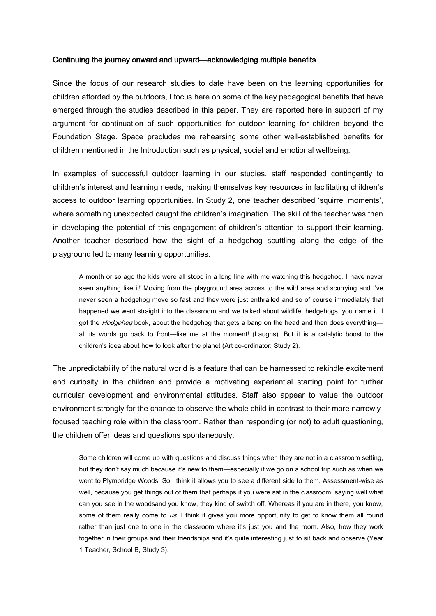#### Continuing the journey onward and upward—acknowledging multiple benefits

Since the focus of our research studies to date have been on the learning opportunities for children afforded by the outdoors, I focus here on some of the key pedagogical benefits that have emerged through the studies described in this paper. They are reported here in support of my argument for continuation of such opportunities for outdoor learning for children beyond the Foundation Stage. Space precludes me rehearsing some other well-established benefits for children mentioned in the Introduction such as physical, social and emotional wellbeing.

In examples of successful outdoor learning in our studies, staff responded contingently to children's interest and learning needs, making themselves key resources in facilitating children's access to outdoor learning opportunities. In Study 2, one teacher described 'squirrel moments', where something unexpected caught the children's imagination. The skill of the teacher was then in developing the potential of this engagement of children's attention to support their learning. Another teacher described how the sight of a hedgehog scuttling along the edge of the playground led to many learning opportunities.

A month or so ago the kids were all stood in a long line with me watching this hedgehog. I have never seen anything like it! Moving from the playground area across to the wild area and scurrying and I've never seen a hedgehog move so fast and they were just enthralled and so of course immediately that happened we went straight into the classroom and we talked about wildlife, hedgehogs, you name it, I got the Hodgeheg book, about the hedgehog that gets a bang on the head and then does everything all its words go back to front—like me at the moment! (Laughs). But it is a catalytic boost to the children's idea about how to look after the planet (Art co-ordinator: Study 2).

The unpredictability of the natural world is a feature that can be harnessed to rekindle excitement and curiosity in the children and provide a motivating experiential starting point for further curricular development and environmental attitudes. Staff also appear to value the outdoor environment strongly for the chance to observe the whole child in contrast to their more narrowlyfocused teaching role within the classroom. Rather than responding (or not) to adult questioning, the children offer ideas and questions spontaneously.

Some children will come up with questions and discuss things when they are not in a classroom setting, but they don't say much because it's new to them—especially if we go on a school trip such as when we went to Plymbridge Woods. So I think it allows you to see a different side to them. Assessment-wise as well, because you get things out of them that perhaps if you were sat in the classroom, saying well what can you see in the woodsand you know, they kind of switch off. Whereas if you are in there, you know, some of them really come to us. I think it gives you more opportunity to get to know them all round rather than just one to one in the classroom where it's just you and the room. Also, how they work together in their groups and their friendships and it's quite interesting just to sit back and observe (Year 1 Teacher, School B, Study 3).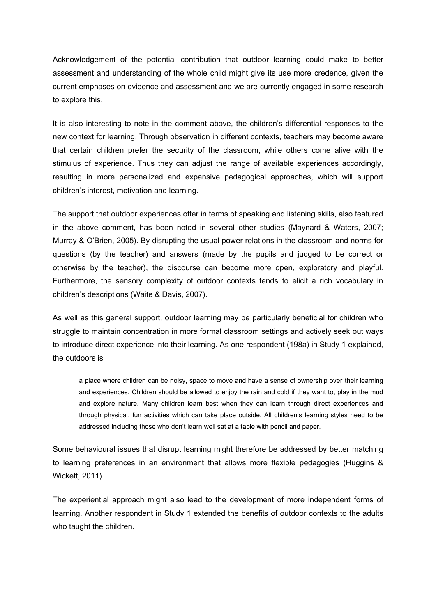Acknowledgement of the potential contribution that outdoor learning could make to better assessment and understanding of the whole child might give its use more credence, given the current emphases on evidence and assessment and we are currently engaged in some research to explore this.

It is also interesting to note in the comment above, the children's differential responses to the new context for learning. Through observation in different contexts, teachers may become aware that certain children prefer the security of the classroom, while others come alive with the stimulus of experience. Thus they can adjust the range of available experiences accordingly, resulting in more personalized and expansive pedagogical approaches, which will support children's interest, motivation and learning.

The support that outdoor experiences offer in terms of speaking and listening skills, also featured in the above comment, has been noted in several other studies (Maynard & Waters, 2007; Murray & O'Brien, 2005). By disrupting the usual power relations in the classroom and norms for questions (by the teacher) and answers (made by the pupils and judged to be correct or otherwise by the teacher), the discourse can become more open, exploratory and playful. Furthermore, the sensory complexity of outdoor contexts tends to elicit a rich vocabulary in children's descriptions (Waite & Davis, 2007).

As well as this general support, outdoor learning may be particularly beneficial for children who struggle to maintain concentration in more formal classroom settings and actively seek out ways to introduce direct experience into their learning. As one respondent (198a) in Study 1 explained, the outdoors is

a place where children can be noisy, space to move and have a sense of ownership over their learning and experiences. Children should be allowed to enjoy the rain and cold if they want to, play in the mud and explore nature. Many children learn best when they can learn through direct experiences and through physical, fun activities which can take place outside. All children's learning styles need to be addressed including those who don't learn well sat at a table with pencil and paper.

Some behavioural issues that disrupt learning might therefore be addressed by better matching to learning preferences in an environment that allows more flexible pedagogies (Huggins & Wickett, 2011).

The experiential approach might also lead to the development of more independent forms of learning. Another respondent in Study 1 extended the benefits of outdoor contexts to the adults who taught the children.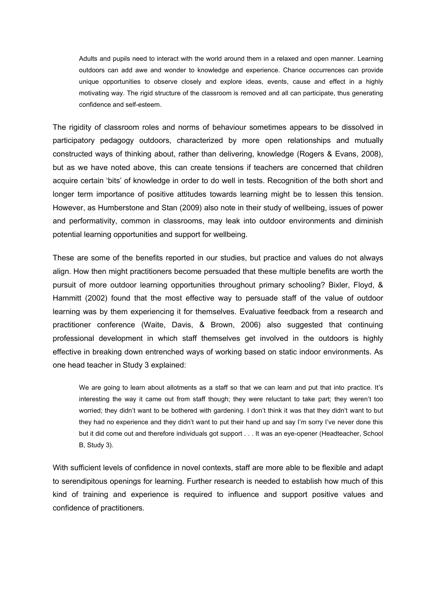Adults and pupils need to interact with the world around them in a relaxed and open manner. Learning outdoors can add awe and wonder to knowledge and experience. Chance occurrences can provide unique opportunities to observe closely and explore ideas, events, cause and effect in a highly motivating way. The rigid structure of the classroom is removed and all can participate, thus generating confidence and self-esteem.

The rigidity of classroom roles and norms of behaviour sometimes appears to be dissolved in participatory pedagogy outdoors, characterized by more open relationships and mutually constructed ways of thinking about, rather than delivering, knowledge (Rogers & Evans, 2008), but as we have noted above, this can create tensions if teachers are concerned that children acquire certain 'bits' of knowledge in order to do well in tests. Recognition of the both short and longer term importance of positive attitudes towards learning might be to lessen this tension. However, as Humberstone and Stan (2009) also note in their study of wellbeing, issues of power and performativity, common in classrooms, may leak into outdoor environments and diminish potential learning opportunities and support for wellbeing.

These are some of the benefits reported in our studies, but practice and values do not always align. How then might practitioners become persuaded that these multiple benefits are worth the pursuit of more outdoor learning opportunities throughout primary schooling? Bixler, Floyd, & Hammitt (2002) found that the most effective way to persuade staff of the value of outdoor learning was by them experiencing it for themselves. Evaluative feedback from a research and practitioner conference (Waite, Davis, & Brown, 2006) also suggested that continuing professional development in which staff themselves get involved in the outdoors is highly effective in breaking down entrenched ways of working based on static indoor environments. As one head teacher in Study 3 explained:

We are going to learn about allotments as a staff so that we can learn and put that into practice. It's interesting the way it came out from staff though; they were reluctant to take part; they weren't too worried; they didn't want to be bothered with gardening. I don't think it was that they didn't want to but they had no experience and they didn't want to put their hand up and say I'm sorry I've never done this but it did come out and therefore individuals got support . . . It was an eye-opener (Headteacher, School B, Study 3).

With sufficient levels of confidence in novel contexts, staff are more able to be flexible and adapt to serendipitous openings for learning. Further research is needed to establish how much of this kind of training and experience is required to influence and support positive values and confidence of practitioners.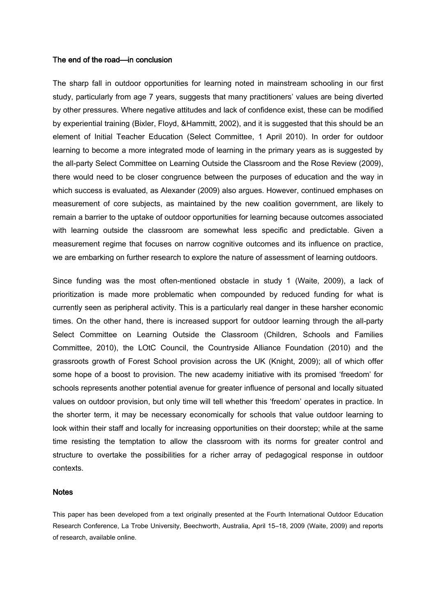#### The end of the road—in conclusion

The sharp fall in outdoor opportunities for learning noted in mainstream schooling in our first study, particularly from age 7 years, suggests that many practitioners' values are being diverted by other pressures. Where negative attitudes and lack of confidence exist, these can be modified by experiential training (Bixler, Floyd, &Hammitt, 2002), and it is suggested that this should be an element of Initial Teacher Education (Select Committee, 1 April 2010). In order for outdoor learning to become a more integrated mode of learning in the primary years as is suggested by the all-party Select Committee on Learning Outside the Classroom and the Rose Review (2009), there would need to be closer congruence between the purposes of education and the way in which success is evaluated, as Alexander (2009) also argues. However, continued emphases on measurement of core subjects, as maintained by the new coalition government, are likely to remain a barrier to the uptake of outdoor opportunities for learning because outcomes associated with learning outside the classroom are somewhat less specific and predictable. Given a measurement regime that focuses on narrow cognitive outcomes and its influence on practice, we are embarking on further research to explore the nature of assessment of learning outdoors.

Since funding was the most often-mentioned obstacle in study 1 (Waite, 2009), a lack of prioritization is made more problematic when compounded by reduced funding for what is currently seen as peripheral activity. This is a particularly real danger in these harsher economic times. On the other hand, there is increased support for outdoor learning through the all-party Select Committee on Learning Outside the Classroom (Children, Schools and Families Committee, 2010), the LOtC Council, the Countryside Alliance Foundation (2010) and the grassroots growth of Forest School provision across the UK (Knight, 2009); all of which offer some hope of a boost to provision. The new academy initiative with its promised 'freedom' for schools represents another potential avenue for greater influence of personal and locally situated values on outdoor provision, but only time will tell whether this 'freedom' operates in practice. In the shorter term, it may be necessary economically for schools that value outdoor learning to look within their staff and locally for increasing opportunities on their doorstep; while at the same time resisting the temptation to allow the classroom with its norms for greater control and structure to overtake the possibilities for a richer array of pedagogical response in outdoor contexts.

#### **Notes**

This paper has been developed from a text originally presented at the Fourth International Outdoor Education Research Conference, La Trobe University, Beechworth, Australia, April 15–18, 2009 (Waite, 2009) and reports of research, available online.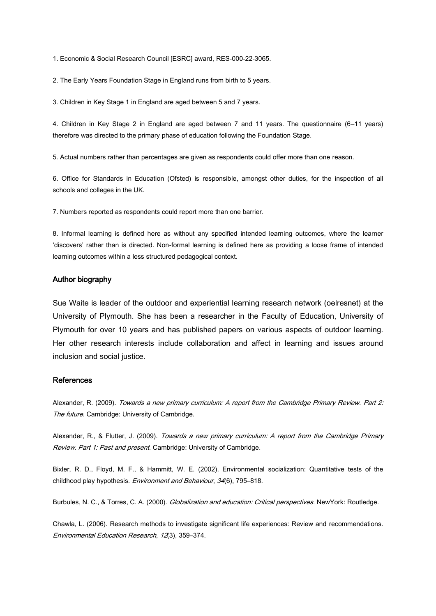1. Economic & Social Research Council [ESRC] award, RES-000-22-3065.

2. The Early Years Foundation Stage in England runs from birth to 5 years.

3. Children in Key Stage 1 in England are aged between 5 and 7 years.

4. Children in Key Stage 2 in England are aged between 7 and 11 years. The questionnaire (6–11 years) therefore was directed to the primary phase of education following the Foundation Stage.

5. Actual numbers rather than percentages are given as respondents could offer more than one reason.

6. Office for Standards in Education (Ofsted) is responsible, amongst other duties, for the inspection of all schools and colleges in the UK.

7. Numbers reported as respondents could report more than one barrier.

8. Informal learning is defined here as without any specified intended learning outcomes, where the learner 'discovers' rather than is directed. Non-formal learning is defined here as providing a loose frame of intended learning outcomes within a less structured pedagogical context.

#### Author biography

Sue Waite is leader of the outdoor and experiential learning research network (oelresnet) at the University of Plymouth. She has been a researcher in the Faculty of Education, University of Plymouth for over 10 years and has published papers on various aspects of outdoor learning. Her other research interests include collaboration and affect in learning and issues around inclusion and social justice.

#### References

Alexander, R. (2009). Towards a new primary curriculum: A report from the Cambridge Primary Review. Part 2: The future. Cambridge: University of Cambridge.

Alexander, R., & Flutter, J. (2009). Towards a new primary curriculum: A report from the Cambridge Primary Review. Part 1: Past and present. Cambridge: University of Cambridge.

Bixler, R. D., Floyd, M. F., & Hammitt, W. E. (2002). Environmental socialization: Quantitative tests of the childhood play hypothesis. Environment and Behaviour, 34(6), 795–818.

Burbules, N. C., & Torres, C. A. (2000). Globalization and education: Critical perspectives. NewYork: Routledge.

Chawla, L. (2006). Research methods to investigate significant life experiences: Review and recommendations. Environmental Education Research, 12(3), 359–374.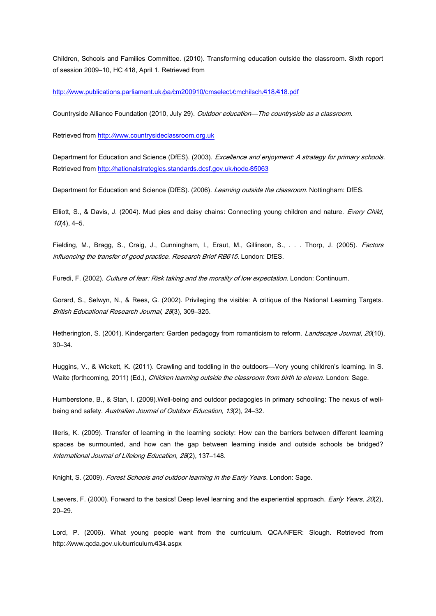Children, Schools and Families Committee. (2010). Transforming education outside the classroom. Sixth report of session 2009–10, HC 418, April 1. Retrieved from

http://[www.publications.parliament.uk](http://www.publications.parliament.uk/pa/cm200910/cmselect/cmchilsch/418/418.pdf)/pa/cm200910/cmselect/cmchilsch/418/418.pdf

Countryside Alliance Foundation (2010, July 29). Outdoor education—The countryside as a classroom.

Retrieved from http://[www.countrysideclassroom.org.uk](http://www.countrysideclassroom.org.uk/)

Department for Education and Science (DfES). (2003). Excellence and enjoyment: A strategy for primary schools. Retrieved from http://[nationalstrategies.standards.dcsf.gov.uk](http://nationalstrategies.standards.dcsf.gov.uk/node/85063)/node/85063

Department for Education and Science (DfES). (2006). Learning outside the classroom. Nottingham: DfES.

Elliott, S., & Davis, J. (2004). Mud pies and daisy chains: Connecting young children and nature. Every Child,  $10(4)$ , 4-5.

Fielding, M., Bragg, S., Craig, J., Cunningham, I., Eraut, M., Gillinson, S., . . . Thorp, J. (2005). *Factors* influencing the transfer of good practice. Research Brief RB615. London: DfES.

Furedi, F. (2002). Culture of fear: Risk taking and the morality of low expectation. London: Continuum.

Gorard, S., Selwyn, N., & Rees, G. (2002). Privileging the visible: A critique of the National Learning Targets. British Educational Research Journal, 28(3), 309–325.

Hetherington, S. (2001). Kindergarten: Garden pedagogy from romanticism to reform. Landscape Journal, 20(10), 30–34.

Huggins, V., & Wickett, K. (2011). Crawling and toddling in the outdoors—Very young children's learning. In S. Waite (forthcoming, 2011) (Ed.), Children learning outside the classroom from birth to eleven. London: Sage.

Humberstone, B., & Stan, I. (2009).Well-being and outdoor pedagogies in primary schooling: The nexus of wellbeing and safety. Australian Journal of Outdoor Education, 13(2), 24-32.

Illeris, K. (2009). Transfer of learning in the learning society: How can the barriers between different learning spaces be surmounted, and how can the gap between learning inside and outside schools be bridged? International Journal of Lifelong Education, 28(2), 137–148.

Knight, S. (2009). Forest Schools and outdoor learning in the Early Years. London: Sage.

Laevers, F. (2000). Forward to the basics! Deep level learning and the experiential approach. Early Years, 20(2), 20–29.

Lord, P. (2006). What young people want from the curriculum. QCA/NFER: Slough. Retrieved from http://www.qcda.gov.uk/curriculum/434.aspx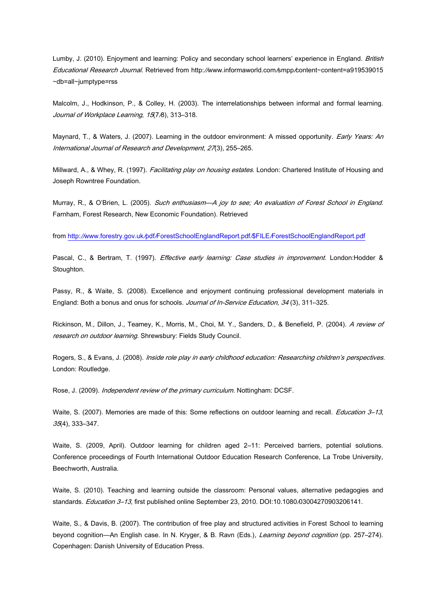Lumby, J. (2010). Enjoyment and learning: Policy and secondary school learners' experience in England. British Educational Research Journal. Retrieved from http://www.informaworld.com/smpp/content∼content=a919539015 ∼db=all∼jumptype=rss

Malcolm, J., Hodkinson, P., & Colley, H. (2003). The interrelationships between informal and formal learning. Journal of Workplace Learning, 15(7/8), 313-318.

Maynard, T., & Waters, J. (2007). Learning in the outdoor environment: A missed opportunity. Early Years: An International Journal of Research and Development, 27(3), 255–265.

Millward, A., & Whey, R. (1997). Facilitating play on housing estates. London: Chartered Institute of Housing and Joseph Rowntree Foundation.

Murray, R., & O'Brien, L. (2005). Such enthusiasm—A joy to see; An evaluation of Forest School in England. Farnham, Forest Research, New Economic Foundation). Retrieved

from http://www.forestry.gov.uk/pdf/[ForestSchoolEnglandReport.pdf](http://www.forestry.gov.uk/pdf/ForestSchoolEnglandReport.pdf/$FILE/ForestSchoolEnglandReport.pdf)/\$FILE/ForestSchoolEnglandReport.pdf

Pascal, C., & Bertram, T. (1997). *Effective early learning: Case studies in improvement*. London:Hodder & Stoughton.

Passy, R., & Waite, S. (2008). Excellence and enjoyment continuing professional development materials in England: Both a bonus and onus for schools. Journal of In-Service Education, 34(3), 311–325.

Rickinson, M., Dillon, J., Teamey, K., Morris, M., Choi, M. Y., Sanders, D., & Benefield, P. (2004). A review of research on outdoor learning. Shrewsbury: Fields Study Council.

Rogers, S., & Evans, J. (2008). Inside role play in early childhood education: Researching children's perspectives. London: Routledge.

Rose, J. (2009). *Independent review of the primary curriculum*. Nottingham: DCSF.

Waite, S. (2007). Memories are made of this: Some reflections on outdoor learning and recall. *Education 3-13*, 35(4), 333–347.

Waite, S. (2009, April). Outdoor learning for children aged 2–11: Perceived barriers, potential solutions. Conference proceedings of Fourth International Outdoor Education Research Conference, La Trobe University, Beechworth, Australia.

Waite, S. (2010). Teaching and learning outside the classroom: Personal values, alternative pedagogies and standards. Education 3-13, first published online September 23, 2010. DOI:10.1080/03004270903206141.

Waite, S., & Davis, B. (2007). The contribution of free play and structured activities in Forest School to learning beyond cognition—An English case. In N. Kryger, & B. Ravn (Eds.), Learning beyond cognition (pp. 257–274). Copenhagen: Danish University of Education Press.